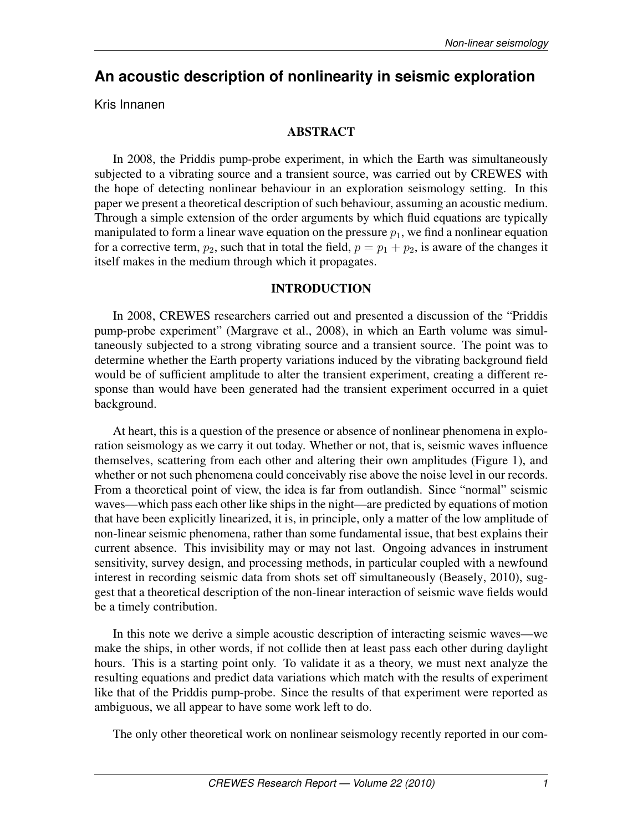# **An acoustic description of nonlinearity in seismic exploration**

Kris Innanen

# ABSTRACT

In 2008, the Priddis pump-probe experiment, in which the Earth was simultaneously subjected to a vibrating source and a transient source, was carried out by CREWES with the hope of detecting nonlinear behaviour in an exploration seismology setting. In this paper we present a theoretical description of such behaviour, assuming an acoustic medium. Through a simple extension of the order arguments by which fluid equations are typically manipulated to form a linear wave equation on the pressure  $p_1$ , we find a nonlinear equation for a corrective term,  $p_2$ , such that in total the field,  $p = p_1 + p_2$ , is aware of the changes it itself makes in the medium through which it propagates.

## INTRODUCTION

In 2008, CREWES researchers carried out and presented a discussion of the "Priddis pump-probe experiment" (Margrave et al., 2008), in which an Earth volume was simultaneously subjected to a strong vibrating source and a transient source. The point was to determine whether the Earth property variations induced by the vibrating background field would be of sufficient amplitude to alter the transient experiment, creating a different response than would have been generated had the transient experiment occurred in a quiet background.

At heart, this is a question of the presence or absence of nonlinear phenomena in exploration seismology as we carry it out today. Whether or not, that is, seismic waves influence themselves, scattering from each other and altering their own amplitudes (Figure 1), and whether or not such phenomena could conceivably rise above the noise level in our records. From a theoretical point of view, the idea is far from outlandish. Since "normal" seismic waves—which pass each other like ships in the night—are predicted by equations of motion that have been explicitly linearized, it is, in principle, only a matter of the low amplitude of non-linear seismic phenomena, rather than some fundamental issue, that best explains their current absence. This invisibility may or may not last. Ongoing advances in instrument sensitivity, survey design, and processing methods, in particular coupled with a newfound interest in recording seismic data from shots set off simultaneously (Beasely, 2010), suggest that a theoretical description of the non-linear interaction of seismic wave fields would be a timely contribution.

In this note we derive a simple acoustic description of interacting seismic waves—we make the ships, in other words, if not collide then at least pass each other during daylight hours. This is a starting point only. To validate it as a theory, we must next analyze the resulting equations and predict data variations which match with the results of experiment like that of the Priddis pump-probe. Since the results of that experiment were reported as ambiguous, we all appear to have some work left to do.

The only other theoretical work on nonlinear seismology recently reported in our com-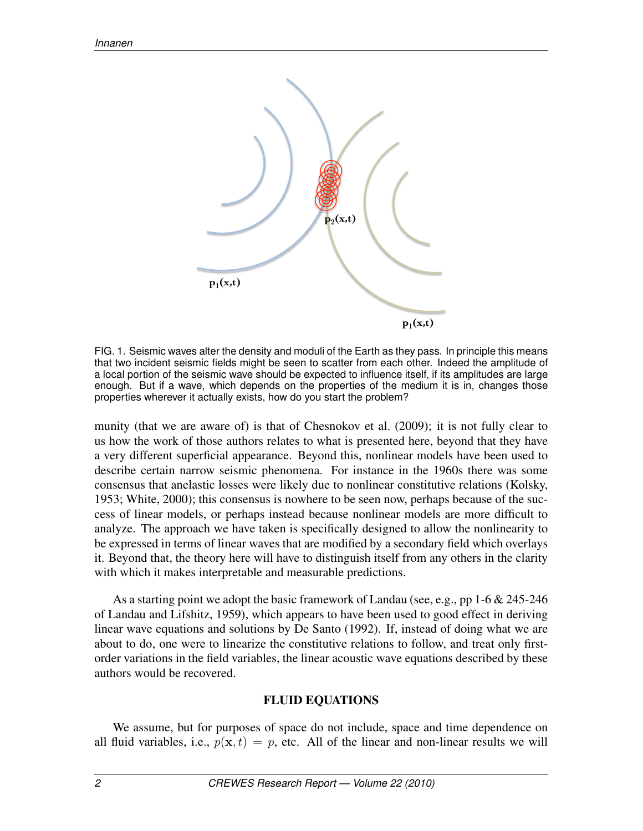

FIG. 1. Seismic waves alter the density and moduli of the Earth as they pass. In principle this means that two incident seismic fields might be seen to scatter from each other. Indeed the amplitude of a local portion of the seismic wave should be expected to influence itself, if its amplitudes are large enough. But if a wave, which depends on the properties of the medium it is in, changes those properties wherever it actually exists, how do you start the problem?

munity (that we are aware of) is that of Chesnokov et al. (2009); it is not fully clear to us how the work of those authors relates to what is presented here, beyond that they have a very different superficial appearance. Beyond this, nonlinear models have been used to describe certain narrow seismic phenomena. For instance in the 1960s there was some consensus that anelastic losses were likely due to nonlinear constitutive relations (Kolsky, 1953; White, 2000); this consensus is nowhere to be seen now, perhaps because of the success of linear models, or perhaps instead because nonlinear models are more difficult to analyze. The approach we have taken is specifically designed to allow the nonlinearity to be expressed in terms of linear waves that are modified by a secondary field which overlays it. Beyond that, the theory here will have to distinguish itself from any others in the clarity with which it makes interpretable and measurable predictions.

As a starting point we adopt the basic framework of Landau (see, e.g., pp 1-6 & 245-246 of Landau and Lifshitz, 1959), which appears to have been used to good effect in deriving linear wave equations and solutions by De Santo (1992). If, instead of doing what we are about to do, one were to linearize the constitutive relations to follow, and treat only firstorder variations in the field variables, the linear acoustic wave equations described by these authors would be recovered.

### FLUID EQUATIONS

We assume, but for purposes of space do not include, space and time dependence on all fluid variables, i.e.,  $p(x, t) = p$ , etc. All of the linear and non-linear results we will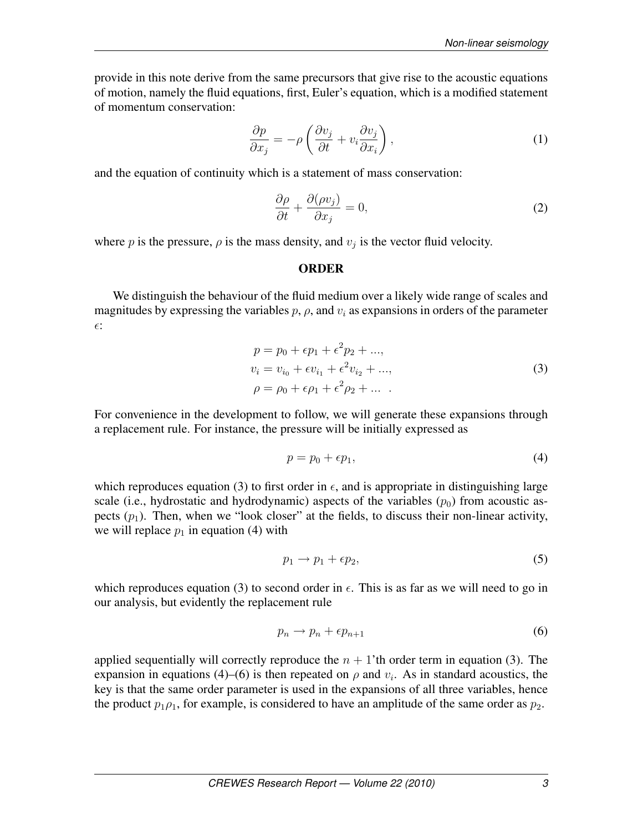provide in this note derive from the same precursors that give rise to the acoustic equations of motion, namely the fluid equations, first, Euler's equation, which is a modified statement of momentum conservation:

$$
\frac{\partial p}{\partial x_j} = -\rho \left( \frac{\partial v_j}{\partial t} + v_i \frac{\partial v_j}{\partial x_i} \right),\tag{1}
$$

and the equation of continuity which is a statement of mass conservation:

$$
\frac{\partial \rho}{\partial t} + \frac{\partial (\rho v_j)}{\partial x_j} = 0,\tag{2}
$$

where p is the pressure,  $\rho$  is the mass density, and  $v_j$  is the vector fluid velocity.

### **ORDER**

We distinguish the behaviour of the fluid medium over a likely wide range of scales and magnitudes by expressing the variables  $p$ ,  $\rho$ , and  $v_i$  as expansions in orders of the parameter  $\epsilon$ :

$$
p = p_0 + \epsilon p_1 + \epsilon^2 p_2 + ..., \n v_i = v_{i_0} + \epsilon v_{i_1} + \epsilon^2 v_{i_2} + ..., \n \rho = \rho_0 + \epsilon \rho_1 + \epsilon^2 \rho_2 + ...
$$
\n(3)

For convenience in the development to follow, we will generate these expansions through a replacement rule. For instance, the pressure will be initially expressed as

$$
p = p_0 + \epsilon p_1,\tag{4}
$$

which reproduces equation (3) to first order in  $\epsilon$ , and is appropriate in distinguishing large scale (i.e., hydrostatic and hydrodynamic) aspects of the variables  $(p_0)$  from acoustic aspects  $(p_1)$ . Then, when we "look closer" at the fields, to discuss their non-linear activity, we will replace  $p_1$  in equation (4) with

$$
p_1 \to p_1 + \epsilon p_2,\tag{5}
$$

which reproduces equation (3) to second order in  $\epsilon$ . This is as far as we will need to go in our analysis, but evidently the replacement rule

$$
p_n \to p_n + \epsilon p_{n+1} \tag{6}
$$

applied sequentially will correctly reproduce the  $n + 1$ 'th order term in equation (3). The expansion in equations (4)–(6) is then repeated on  $\rho$  and  $v_i$ . As in standard acoustics, the key is that the same order parameter is used in the expansions of all three variables, hence the product  $p_1 \rho_1$ , for example, is considered to have an amplitude of the same order as  $p_2$ .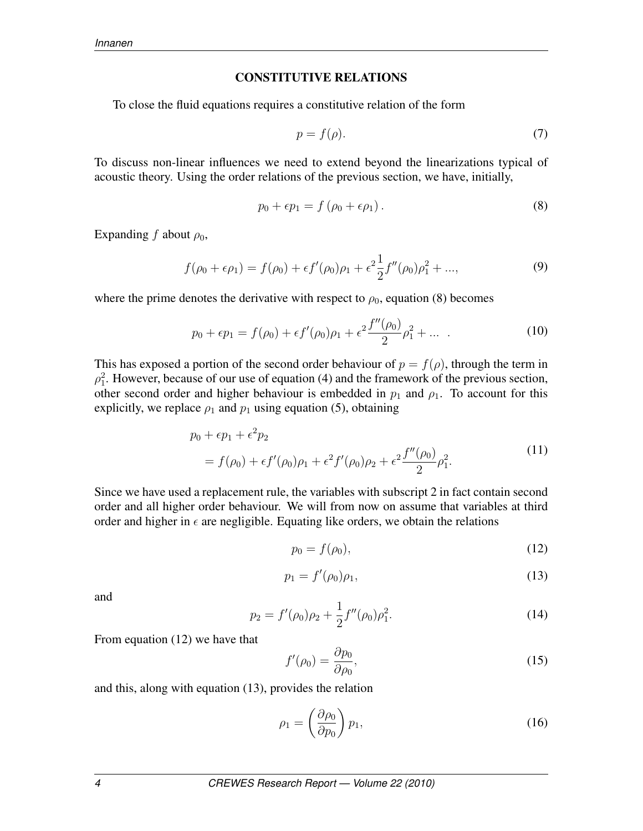#### CONSTITUTIVE RELATIONS

To close the fluid equations requires a constitutive relation of the form

$$
p = f(\rho). \tag{7}
$$

To discuss non-linear influences we need to extend beyond the linearizations typical of acoustic theory. Using the order relations of the previous section, we have, initially,

$$
p_0 + \epsilon p_1 = f\left(\rho_0 + \epsilon \rho_1\right). \tag{8}
$$

Expanding f about  $\rho_0$ ,

$$
f(\rho_0 + \epsilon \rho_1) = f(\rho_0) + \epsilon f'(\rho_0)\rho_1 + \epsilon^2 \frac{1}{2} f''(\rho_0)\rho_1^2 + ..., \tag{9}
$$

where the prime denotes the derivative with respect to  $\rho_0$ , equation (8) becomes

$$
p_0 + \epsilon p_1 = f(\rho_0) + \epsilon f'(\rho_0)\rho_1 + \epsilon^2 \frac{f''(\rho_0)}{2}\rho_1^2 + \dots \tag{10}
$$

This has exposed a portion of the second order behaviour of  $p = f(\rho)$ , through the term in  $\rho_1^2$ . However, because of our use of equation (4) and the framework of the previous section, other second order and higher behaviour is embedded in  $p_1$  and  $p_1$ . To account for this explicitly, we replace  $\rho_1$  and  $p_1$  using equation (5), obtaining

$$
p_0 + \epsilon p_1 + \epsilon^2 p_2
$$
  
=  $f(\rho_0) + \epsilon f'(\rho_0)\rho_1 + \epsilon^2 f'(\rho_0)\rho_2 + \epsilon^2 \frac{f''(\rho_0)}{2}\rho_1^2.$  (11)

Since we have used a replacement rule, the variables with subscript 2 in fact contain second order and all higher order behaviour. We will from now on assume that variables at third order and higher in  $\epsilon$  are negligible. Equating like orders, we obtain the relations

$$
p_0 = f(\rho_0),\tag{12}
$$

$$
p_1 = f'(\rho_0)\rho_1,\tag{13}
$$

and

$$
p_2 = f'(\rho_0)\rho_2 + \frac{1}{2}f''(\rho_0)\rho_1^2.
$$
 (14)

From equation (12) we have that

$$
f'(\rho_0) = \frac{\partial p_0}{\partial \rho_0},\tag{15}
$$

and this, along with equation (13), provides the relation

$$
\rho_1 = \left(\frac{\partial \rho_0}{\partial p_0}\right) p_1,\tag{16}
$$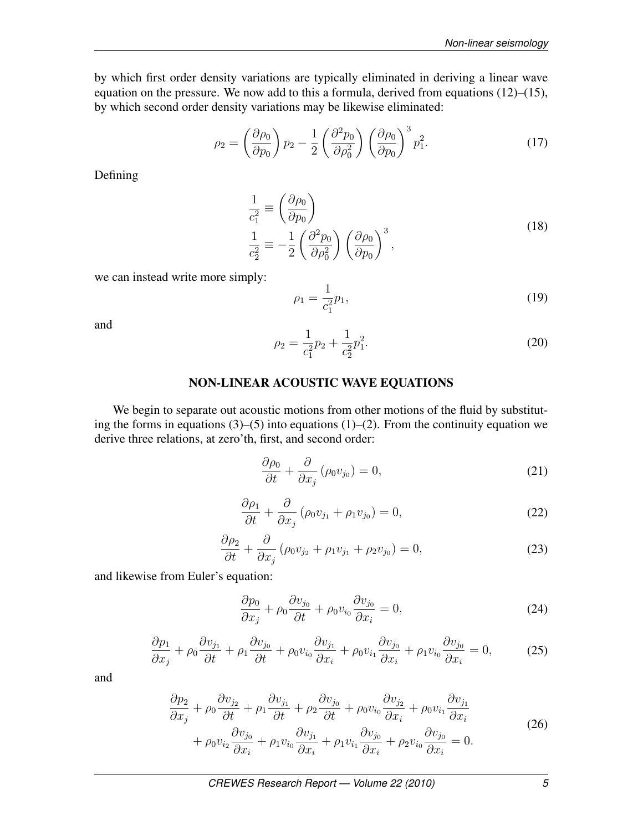by which first order density variations are typically eliminated in deriving a linear wave equation on the pressure. We now add to this a formula, derived from equations (12)–(15), by which second order density variations may be likewise eliminated:

$$
\rho_2 = \left(\frac{\partial \rho_0}{\partial p_0}\right) p_2 - \frac{1}{2} \left(\frac{\partial^2 p_0}{\partial \rho_0^2}\right) \left(\frac{\partial \rho_0}{\partial p_0}\right)^3 p_1^2. \tag{17}
$$

Defining

$$
\frac{1}{c_1^2} \equiv \left(\frac{\partial \rho_0}{\partial p_0}\right)
$$
\n
$$
\frac{1}{c_2^2} \equiv -\frac{1}{2} \left(\frac{\partial^2 p_0}{\partial \rho_0^2}\right) \left(\frac{\partial \rho_0}{\partial p_0}\right)^3,
$$
\n(18)

we can instead write more simply:

$$
\rho_1 = \frac{1}{c_1^2} p_1,\tag{19}
$$

and

$$
\rho_2 = \frac{1}{c_1^2} p_2 + \frac{1}{c_2^2} p_1^2. \tag{20}
$$

## NON-LINEAR ACOUSTIC WAVE EQUATIONS

We begin to separate out acoustic motions from other motions of the fluid by substituting the forms in equations  $(3)$ – $(5)$  into equations  $(1)$ – $(2)$ . From the continuity equation we derive three relations, at zero'th, first, and second order:

$$
\frac{\partial \rho_0}{\partial t} + \frac{\partial}{\partial x_j} (\rho_0 v_{j_0}) = 0, \tag{21}
$$

$$
\frac{\partial \rho_1}{\partial t} + \frac{\partial}{\partial x_j} \left( \rho_0 v_{j_1} + \rho_1 v_{j_0} \right) = 0, \tag{22}
$$

$$
\frac{\partial \rho_2}{\partial t} + \frac{\partial}{\partial x_j} \left( \rho_0 v_{j_2} + \rho_1 v_{j_1} + \rho_2 v_{j_0} \right) = 0, \tag{23}
$$

and likewise from Euler's equation:

$$
\frac{\partial p_0}{\partial x_j} + \rho_0 \frac{\partial v_{j_0}}{\partial t} + \rho_0 v_{i_0} \frac{\partial v_{j_0}}{\partial x_i} = 0, \tag{24}
$$

$$
\frac{\partial p_1}{\partial x_j} + \rho_0 \frac{\partial v_{j_1}}{\partial t} + \rho_1 \frac{\partial v_{j_0}}{\partial t} + \rho_0 v_{i_0} \frac{\partial v_{j_1}}{\partial x_i} + \rho_0 v_{i_1} \frac{\partial v_{j_0}}{\partial x_i} + \rho_1 v_{i_0} \frac{\partial v_{j_0}}{\partial x_i} = 0, \tag{25}
$$

and

$$
\frac{\partial p_2}{\partial x_j} + \rho_0 \frac{\partial v_{j_2}}{\partial t} + \rho_1 \frac{\partial v_{j_1}}{\partial t} + \rho_2 \frac{\partial v_{j_0}}{\partial t} + \rho_0 v_{i_0} \frac{\partial v_{j_2}}{\partial x_i} + \rho_0 v_{i_1} \frac{\partial v_{j_1}}{\partial x_i} + \rho_0 v_{i_2} \frac{\partial v_{j_0}}{\partial x_i} + \rho_1 v_{i_0} \frac{\partial v_{j_1}}{\partial x_i} + \rho_1 v_{i_1} \frac{\partial v_{j_0}}{\partial x_i} + \rho_2 v_{i_0} \frac{\partial v_{j_0}}{\partial x_i} = 0.
$$
\n(26)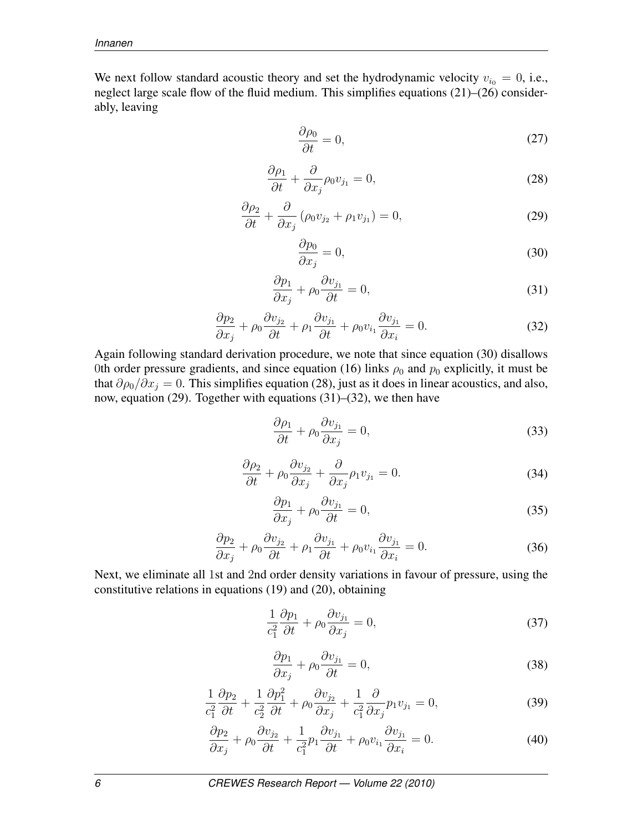We next follow standard acoustic theory and set the hydrodynamic velocity  $v_{i0} = 0$ , i.e., neglect large scale flow of the fluid medium. This simplifies equations (21)–(26) considerably, leaving

$$
\frac{\partial \rho_0}{\partial t} = 0,\t\t(27)
$$

$$
\frac{\partial \rho_1}{\partial t} + \frac{\partial}{\partial x_j} \rho_0 v_{j_1} = 0, \tag{28}
$$

$$
\frac{\partial \rho_2}{\partial t} + \frac{\partial}{\partial x_j} \left( \rho_0 v_{j_2} + \rho_1 v_{j_1} \right) = 0, \tag{29}
$$

$$
\frac{\partial p_0}{\partial x_j} = 0,\t\t(30)
$$

$$
\frac{\partial p_1}{\partial x_j} + \rho_0 \frac{\partial v_{j_1}}{\partial t} = 0,\tag{31}
$$

$$
\frac{\partial p_2}{\partial x_j} + \rho_0 \frac{\partial v_{j_2}}{\partial t} + \rho_1 \frac{\partial v_{j_1}}{\partial t} + \rho_0 v_{i_1} \frac{\partial v_{j_1}}{\partial x_i} = 0.
$$
\n(32)

Again following standard derivation procedure, we note that since equation (30) disallows 0th order pressure gradients, and since equation (16) links  $\rho_0$  and  $p_0$  explicitly, it must be that  $\partial \rho_0 / \partial x_j = 0$ . This simplifies equation (28), just as it does in linear acoustics, and also, now, equation (29). Together with equations (31)–(32), we then have

$$
\frac{\partial \rho_1}{\partial t} + \rho_0 \frac{\partial v_{j_1}}{\partial x_j} = 0,\tag{33}
$$

$$
\frac{\partial \rho_2}{\partial t} + \rho_0 \frac{\partial v_{j_2}}{\partial x_j} + \frac{\partial}{\partial x_j} \rho_1 v_{j_1} = 0.
$$
 (34)

$$
\frac{\partial p_1}{\partial x_j} + \rho_0 \frac{\partial v_{j_1}}{\partial t} = 0,\tag{35}
$$

$$
\frac{\partial p_2}{\partial x_j} + \rho_0 \frac{\partial v_{j_2}}{\partial t} + \rho_1 \frac{\partial v_{j_1}}{\partial t} + \rho_0 v_{i_1} \frac{\partial v_{j_1}}{\partial x_i} = 0.
$$
\n(36)

Next, we eliminate all 1st and 2nd order density variations in favour of pressure, using the constitutive relations in equations (19) and (20), obtaining

$$
\frac{1}{c_1^2} \frac{\partial p_1}{\partial t} + \rho_0 \frac{\partial v_{j_1}}{\partial x_j} = 0,\tag{37}
$$

$$
\frac{\partial p_1}{\partial x_j} + \rho_0 \frac{\partial v_{j_1}}{\partial t} = 0,\tag{38}
$$

$$
\frac{1}{c_1^2} \frac{\partial p_2}{\partial t} + \frac{1}{c_2^2} \frac{\partial p_1^2}{\partial t} + \rho_0 \frac{\partial v_{j_2}}{\partial x_j} + \frac{1}{c_1^2} \frac{\partial}{\partial x_j} p_1 v_{j_1} = 0, \tag{39}
$$

$$
\frac{\partial p_2}{\partial x_j} + \rho_0 \frac{\partial v_{j_2}}{\partial t} + \frac{1}{c_1^2} p_1 \frac{\partial v_{j_1}}{\partial t} + \rho_0 v_{i_1} \frac{\partial v_{j_1}}{\partial x_i} = 0.
$$
\n(40)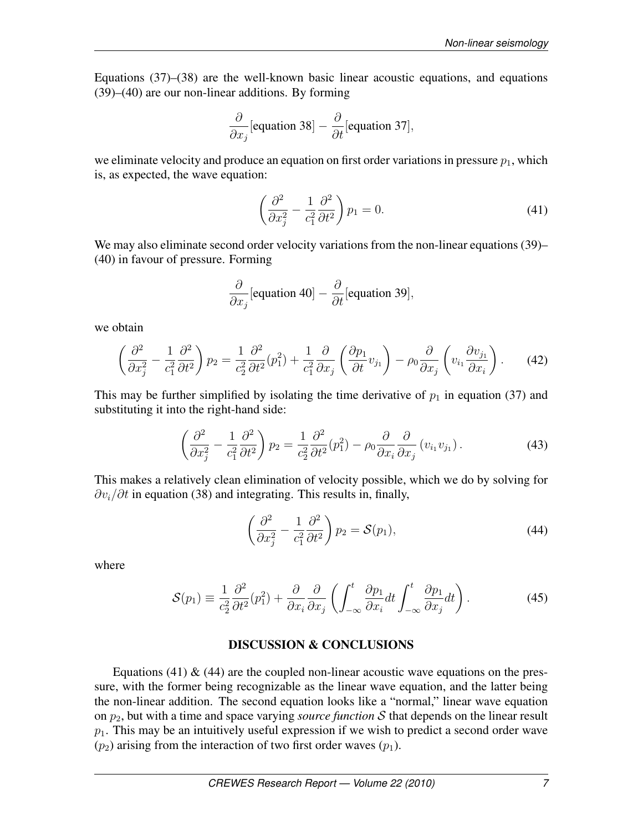Equations (37)–(38) are the well-known basic linear acoustic equations, and equations (39)–(40) are our non-linear additions. By forming

$$
\frac{\partial}{\partial x_j}[\text{equation 38}] - \frac{\partial}{\partial t}[\text{equation 37}],
$$

we eliminate velocity and produce an equation on first order variations in pressure  $p_1$ , which is, as expected, the wave equation:

$$
\left(\frac{\partial^2}{\partial x_j^2} - \frac{1}{c_1^2} \frac{\partial^2}{\partial t^2}\right) p_1 = 0.
$$
\n(41)

We may also eliminate second order velocity variations from the non-linear equations (39)– (40) in favour of pressure. Forming

$$
\frac{\partial}{\partial x_j}[\text{equation 40}] - \frac{\partial}{\partial t}[\text{equation 39}],
$$

we obtain

$$
\left(\frac{\partial^2}{\partial x_j^2} - \frac{1}{c_1^2} \frac{\partial^2}{\partial t^2}\right) p_2 = \frac{1}{c_2^2} \frac{\partial^2}{\partial t^2} (p_1^2) + \frac{1}{c_1^2} \frac{\partial}{\partial x_j} \left(\frac{\partial p_1}{\partial t} v_{j_1}\right) - \rho_0 \frac{\partial}{\partial x_j} \left(v_{i_1} \frac{\partial v_{j_1}}{\partial x_i}\right). \tag{42}
$$

This may be further simplified by isolating the time derivative of  $p_1$  in equation (37) and substituting it into the right-hand side:

$$
\left(\frac{\partial^2}{\partial x_j^2} - \frac{1}{c_1^2} \frac{\partial^2}{\partial t^2}\right) p_2 = \frac{1}{c_2^2} \frac{\partial^2}{\partial t^2} (p_1^2) - \rho_0 \frac{\partial}{\partial x_i} \frac{\partial}{\partial x_j} (v_{i_1} v_{j_1}).
$$
\n(43)

This makes a relatively clean elimination of velocity possible, which we do by solving for  $\partial v_i/\partial t$  in equation (38) and integrating. This results in, finally,

$$
\left(\frac{\partial^2}{\partial x_j^2} - \frac{1}{c_1^2} \frac{\partial^2}{\partial t^2}\right) p_2 = \mathcal{S}(p_1),\tag{44}
$$

where

$$
S(p_1) = \frac{1}{c_2^2} \frac{\partial^2}{\partial t^2} (p_1^2) + \frac{\partial}{\partial x_i} \frac{\partial}{\partial x_j} \left( \int_{-\infty}^t \frac{\partial p_1}{\partial x_i} dt \int_{-\infty}^t \frac{\partial p_1}{\partial x_j} dt \right).
$$
 (45)

#### DISCUSSION & CONCLUSIONS

Equations (41)  $\&$  (44) are the coupled non-linear acoustic wave equations on the pressure, with the former being recognizable as the linear wave equation, and the latter being the non-linear addition. The second equation looks like a "normal," linear wave equation on  $p_2$ , but with a time and space varying *source function* S that depends on the linear result  $p_1$ . This may be an intuitively useful expression if we wish to predict a second order wave  $(p_2)$  arising from the interaction of two first order waves  $(p_1)$ .